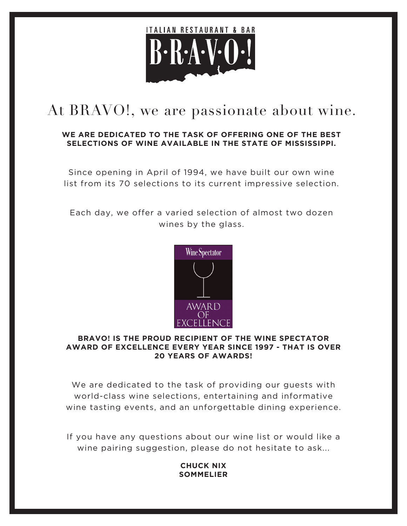

# At BRAVO!, we are passionate about wine.

### **WE ARE DEDICATED TO THE TASK OF OFFERING ONE OF THE BEST SELECTIONS OF WINE AVAILABLE IN THE STATE OF MISSISSIPPI.**

Since opening in April of 1994, we have built our own wine list from its 70 selections to its current impressive selection.

Each day, we offer a varied selection of almost two dozen wines by the glass.



#### **BRAVO! IS THE PROUD RECIPIENT OF THE WINE SPECTATOR AWARD OF EXCELLENCE EVERY YEAR SINCE 1997 - THAT IS OVER 20 YEARS OF AWARDS!**

We are dedicated to the task of providing our guests with world-class wine selections, entertaining and informative wine tasting events, and an unforgettable dining experience.

If you have any questions about our wine list or would like a wine pairing suggestion, please do not hesitate to ask...

### **CHUCK NIX SOMMELIER**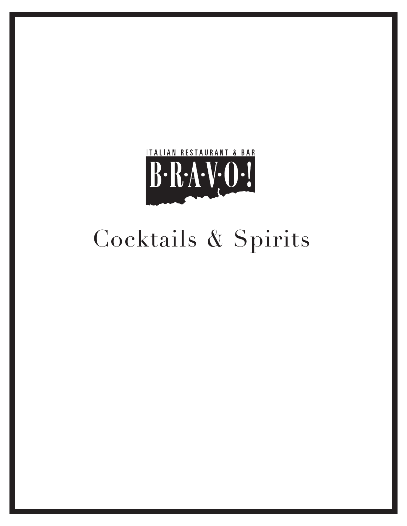

# Cocktails & Spirits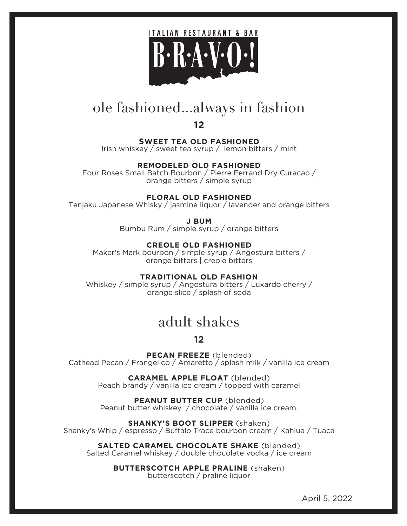

## ole fashioned...always in fashion

**12**

**SWEET TEA OLD FASHIONED**

Irish whiskey / sweet tea syrup / lemon bitters / mint

### **REMODELED OLD FASHIONED**

Four Roses Small Batch Bourbon / Pierre Ferrand Dry Curacao / orange bitters / simple syrup

#### **FLORAL OLD FASHIONED**

Tenjaku Japanese Whisky / jasmine liquor / lavender and orange bitters

**J BUM**

Bumbu Rum / simple syrup / orange bitters

**CREOLE OLD FASHIONED**

Maker's Mark bourbon / simple syrup / Angostura bitters / orange bitters | creole bitters

**TRADITIONAL OLD FASHION**

Whiskey / simple syrup / Angostura bitters / Luxardo cherry / orange slice / splash of soda

### adult shakes

### **12**

**PECAN FREEZE** (blended) Cathead Pecan / Frangelico / Amaretto / splash milk / vanilla ice cream

> **CARAMEL APPLE FLOAT** (blended) Peach brandy / vanilla ice cream / topped with caramel

**PEANUT BUTTER CUP** (blended) Peanut butter whiskey / chocolate / vanilla ice cream.

**SHANKY'S BOOT SLIPPER** (shaken) Shanky's Whip / espresso / Buffalo Trace bourbon cream / Kahlua / Tuaca

**SALTED CARAMEL CHOCOLATE SHAKE** (blended) Salted Caramel whiskey / double chocolate vodka / ice cream

> **BUTTERSCOTCH APPLE PRALINE** (shaken) butterscotch / praline liquor

> > April 5, 2022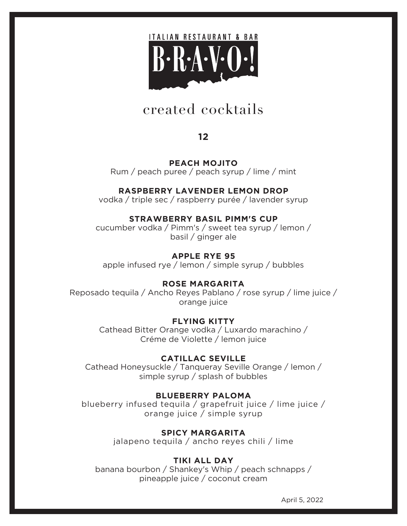

### created cocktails

**12**

**PEACH MOJITO** Rum / peach puree / peach syrup / lime / mint

### **RASPBERRY LAVENDER LEMON DROP**

vodka / triple sec / raspberry purée / lavender syrup

### **STRAWBERRY BASIL PIMM'S CUP**

cucumber vodka / Pimm's / sweet tea syrup / lemon / basil / ginger ale

### **APPLE RYE 95**

apple infused rye / lemon / simple syrup / bubbles

### **ROSE MARGARITA**

Reposado tequila / Ancho Reyes Pablano / rose syrup / lime juice / orange juice

### **FLYING KITTY**

Cathead Bitter Orange vodka / Luxardo marachino / Créme de Violette / lemon juice

### **CATILLAC SEVILLE**

Cathead Honeysuckle / Tanqueray Seville Orange / lemon / simple syrup / splash of bubbles

### **BLUEBERRY PALOMA**

blueberry infused tequila / grapefruit juice / lime juice / orange juice / simple syrup

> **SPICY MARGARITA** jalapeno tequila / ancho reyes chili / lime

### **TIKI ALL DAY**

banana bourbon / Shankey's Whip / peach schnapps / pineapple juice / coconut cream

April 5, 2022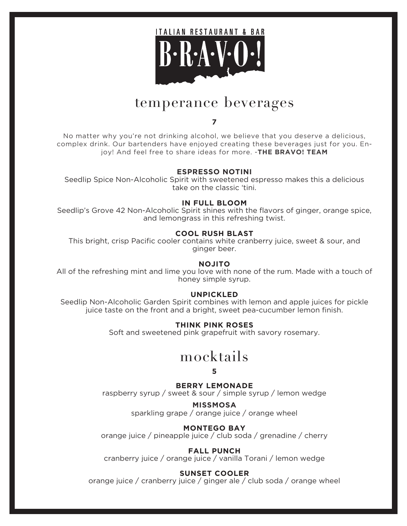

### temperance beverages

#### **7**

No matter why you're not drinking alcohol, we believe that you deserve a delicious, complex drink. Our bartenders have enjoyed creating these beverages just for you. Enjoy! And feel free to share ideas for more. -**THE BRAVO! TEAM**

#### **ESPRESSO NOTINI**

Seedlip Spice Non-Alcoholic Spirit with sweetened espresso makes this a delicious take on the classic 'tini.

#### **IN FULL BLOOM**

Seedlip's Grove 42 Non-Alcoholic Spirit shines with the flavors of ginger, orange spice, and lemongrass in this refreshing twist.

#### **COOL RUSH BLAST**

This bright, crisp Pacific cooler contains white cranberry juice, sweet & sour, and ginger beer.

#### **NOJITO**

All of the refreshing mint and lime you love with none of the rum. Made with a touch of honey simple syrup.

#### **UNPICKLED**

Seedlip Non-Alcoholic Garden Spirit combines with lemon and apple juices for pickle juice taste on the front and a bright, sweet pea-cucumber lemon finish.

#### **THINK PINK ROSES**

Soft and sweetened pink grapefruit with savory rosemary.

### mocktails

#### **5**

#### **BERRY LEMONADE**

raspberry syrup / sweet & sour / simple syrup / lemon wedge

**MISSMOSA** sparkling grape / orange juice / orange wheel

#### **MONTEGO BAY**

orange juice / pineapple juice / club soda / grenadine / cherry

#### **FALL PUNCH**

cranberry juice / orange juice / vanilla Torani / lemon wedge

#### **SUNSET COOLER**

orange juice / cranberry juice / ginger ale / club soda / orange wheel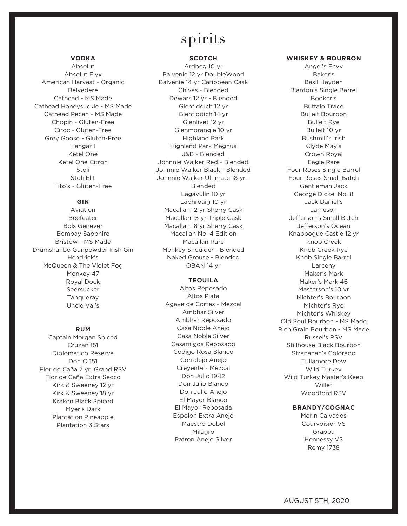### spirits

#### **VODKA**

Absolut Absolut Elyx American Harvest - Organic Belvedere Cathead - MS Made Cathead Honeysuckle - MS Made Cathead Pecan - MS Made Chopin - Gluten-Free Cîroc - Gluten-Free Grey Goose - Gluten-Free Hangar 1 Ketel One Ketel One Citron Stoli Stoli Elit Tito's - Gluten-Free

#### **GIN**

Aviation Beefeater Bols Genever Bombay Sapphire Bristow - MS Made Drumshanbo Gunpowder Irish Gin Hendrick's McQueen & The Violet Fog Monkey 47 Royal Dock Seersucker Tanqueray Uncle Val's

#### **RUM**

Captain Morgan Spiced Cruzan 151 Diplomatico Reserva Don Q 151 Flor de Caña 7 yr. Grand RSV Flor de Caña Extra Secco Kirk & Sweeney 12 yr Kirk & Sweeney 18 yr Kraken Black Spiced Myer's Dark Plantation Pineapple Plantation 3 Stars

#### **SCOTCH**

Ardbeg 10 yr Balvenie 12 yr DoubleWood Balvenie 14 yr Caribbean Cask Chivas - Blended Dewars 12 yr - Blended Glenfiddich 12 yr Glenfiddich 14 yr Glenlivet 12 yr Glenmorangie 10 yr Highland Park Highland Park Magnus J&B - Blended Johnnie Walker Red - Blended Johnnie Walker Black - Blended Johnnie Walker Ultimate 18 yr - Blended Lagavulin 10 yr Laphroaig 10 yr Macallan 12 yr Sherry Cask Macallan 15 yr Triple Cask Macallan 18 yr Sherry Cask Macallan No. 4 Edition Macallan Rare Monkey Shoulder - Blended Naked Grouse - Blended OBAN 14 yr

#### **TEQUILA**

Altos Reposado Altos Plata Agave de Cortes - Mezcal Ambhar Silver Ambhar Reposado Casa Noble Anejo Casa Noble Silver Casamigos Reposado Codigo Rosa Blanco Corralejo Anejo Creyente - Mezcal Don Julio 1942 Don Julio Blanco Don Julio Anejo El Mayor Blanco El Mayor Reposada Espolon Extra Anejo Maestro Dobel Milagro Patron Anejo Silver

#### **WHISKEY & BOURBON**

Angel's Envy Baker's Basil Hayden Blanton's Single Barrel Booker's Buffalo Trace Bulleit Bourbon Bulleit Rye Bulleit 10 yr Bushmill's Irish Clyde May's Crown Royal Eagle Rare Four Roses Single Barrel Four Roses Small Batch Gentleman Jack George Dickel No. 8 Jack Daniel's Jameson Jefferson's Small Batch Jefferson's Ocean Knappogue Castle 12 yr Knob Creek Knob Creek Rye Knob Single Barrel Larceny Maker's Mark Maker's Mark 46 Masterson's 10 yr Michter's Bourbon Michter's Rye Michter's Whiskey Old Soul Bourbon - MS Made Rich Grain Bourbon - MS Made Russel's RSV Stillhouse Black Bourbon Stranahan's Colorado Tullamore Dew Wild Turkey Wild Turkey Master's Keep Willet Woodford RSV

#### **BRANDY/COGNAC**

Morin Calvados Courvoisier VS Grappa Hennessy VS Remy 1738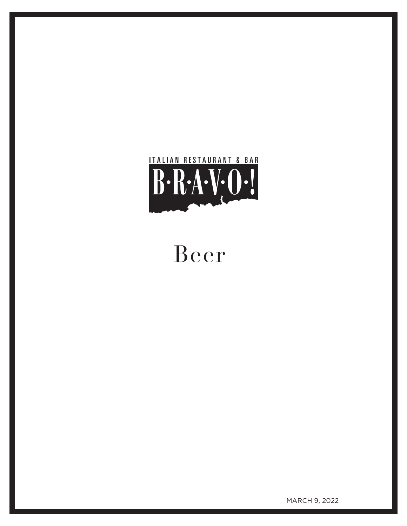

# Beer

MARCH 9, 2022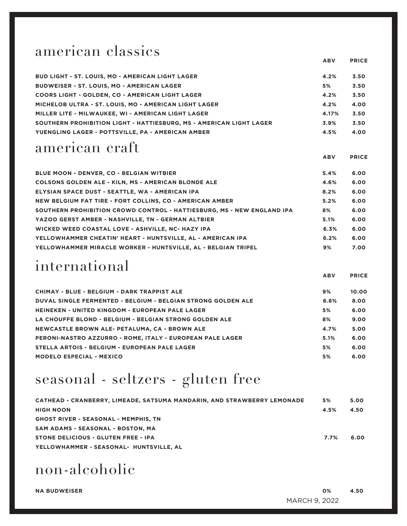### american classics

| <b>BUD LIGHT - ST. LOUIS, MO - AMERICAN LIGHT LAGER</b>             | 4.2%  | 3.50 |
|---------------------------------------------------------------------|-------|------|
| <b>BUDWEISER - ST. LOUIS, MO - AMERICAN LAGER</b>                   | 5%    | 3.50 |
| <b>COORS LIGHT - GOLDEN, CO - AMERICAN LIGHT LAGER</b>              | 4.2%  | 3.50 |
| MICHELOB ULTRA - ST. LOUIS, MO - AMERICAN LIGHT LAGER               | 4.2%  | 4.00 |
| MILLER LITE - MILWAUKEE, WI - AMERICAN LIGHT LAGER                  | 4.17% | 3.50 |
| SOUTHERN PROHIBITION LIGHT - HATTIESBURG. MS - AMERICAN LIGHT LAGER | 3.9%  | 3.50 |
| YUENGLING LAGER - POTTSVILLE, PA - AMERICAN AMBER                   | 4.5%  | 4.00 |
|                                                                     |       |      |

 **ABV PRICE**

 **ABV PRICE**

### american craft

**BLUE MOON - DENVER, CO - BELGIAN WITBIER 5.4% 6.00 COLSONS GOLDEN ALE - KILN, MS - AMERICAN BLONDE ALE 4.6% 6.00 ELYSIAN SPACE DUST - SEATTLE, WA - AMERICAN IPA 8.2% 6.00 NEW BELGIUM FAT TIRE - FORT COLLINS, CO - AMERICAN AMBER 5.2% 6.00 SOUTHERN PROHIBITION CROWD CONTROL - HATTIESBURG, MS - NEW ENGLAND IPA 8% 6.00 YAZOO GERST AMBER - NASHVILLE, TN - GERMAN ALTBIER 5.1% 6.00** WICKED WEED COASTAL LOVE - ASHVILLE, NC- HAZY IPA **6.000 CONSUMED METAL METAL METAL METAL METAL METAL METAL METAL YELLOWHAMMER CHEATIN' HEART - HUNTSVILLE, AL - AMERICAN IPA 6.2% 6.00 YELLOWHAMMER MIRACLE WORKER - HUNTSVILLE, AL - BELGIAN TRIPEL 9% 7.00**

### international

|                                                                     | <b>ABV</b> | <b>PRICE</b> |
|---------------------------------------------------------------------|------------|--------------|
| CHIMAY - BLUE - BELGIUM - DARK TRAPPIST ALE                         | 9%         | 10.00        |
| <b>DUVAL SINGLE FERMENTED - BELGIUM - BELGIAN STRONG GOLDEN ALE</b> | 6.8%       | 8.00         |
| <b>HEINEKEN - UNITED KINGDOM - EUROPEAN PALE LAGER</b>              | 5%         | 6.00         |
| LA CHOUFFE BLOND - BELGIUM - BELGIAN STRONG GOLDEN ALE              | 8%         | 9.00         |
| NEWCASTLE BROWN ALE- PETALUMA, CA - BROWN ALE                       | 4.7%       | 5.00         |
| PERONI-NASTRO AZZURRO - ROME, ITALY - EUROPEAN PALE LAGER           | 5.1%       | 6.00         |
| STELLA ARTOIS - BELGIUM - EUROPEAN PALE LAGER                       | 5%         | 6.00         |
| <b>MODELO ESPECIAL - MEXICO</b>                                     | 5%         | 6.00         |

### seasonal - seltzers - gluten free

| CATHEAD - CRANBERRY, LIMEADE, SATSUMA MANDARIN, AND STRAWBERRY LEMONADE | 5%   | 5.00 |
|-------------------------------------------------------------------------|------|------|
| <b>HIGH NOON</b>                                                        | 4.5% | 4.50 |
| <b>GHOST RIVER - SEASONAL - MEMPHIS, TN</b>                             |      |      |
| SAM ADAMS - SEASONAL - BOSTON, MA                                       |      |      |
| STONE DELICIOUS - GLUTEN FREE - IPA                                     | 7.7% | 6.00 |
| YELLOWHAMMER - SEASONAL- HUNTSVILLE, AL                                 |      |      |

non-alcoholic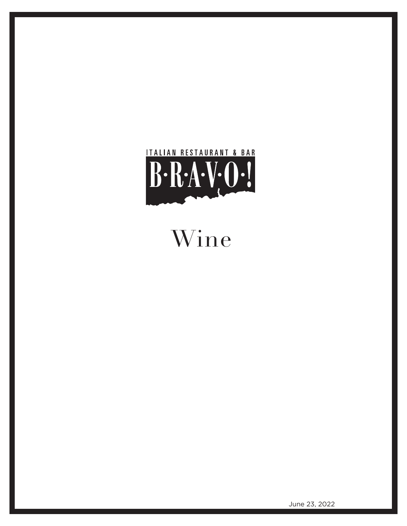

Wine

June 23, 2022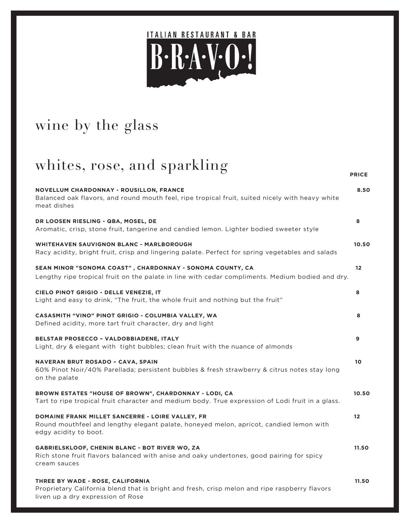

# wine by the glass

# whites, rose, and sparkling

| NOVELLUM CHARDONNAY - ROUSILLON, FRANCE<br>Balanced oak flavors, and round mouth feel, ripe tropical fruit, suited nicely with heavy white<br>meat dishes              | 8.50              |
|------------------------------------------------------------------------------------------------------------------------------------------------------------------------|-------------------|
| DR LOOSEN RIESLING - QBA, MOSEL, DE<br>Aromatic, crisp, stone fruit, tangerine and candied lemon. Lighter bodied sweeter style                                         | 8                 |
| WHITEHAVEN SAUVIGNON BLANC - MARLBOROUGH<br>Racy acidity, bright fruit, crisp and lingering palate. Perfect for spring vegetables and salads                           | 10.50             |
| SEAN MINOR "SONOMA COAST", CHARDONNAY - SONOMA COUNTY, CA<br>Lengthy ripe tropical fruit on the palate in line with cedar compliments. Medium bodied and dry.          | $12 \overline{ }$ |
| CIELO PINOT GRIGIO - DELLE VENEZIE, IT<br>Light and easy to drink, "The fruit, the whole fruit and nothing but the fruit"                                              | 8                 |
| CASASMITH "VINO" PINOT GRIGIO - COLUMBIA VALLEY, WA<br>Defined acidity, more tart fruit character, dry and light                                                       | 8                 |
| BELSTAR PROSECCO - VALDOBBIADENE, ITALY<br>Light, dry & elegant with tight bubbles; clean fruit with the nuance of almonds                                             | 9                 |
| <b>NAVERAN BRUT ROSADO - CAVA, SPAIN</b><br>60% Pinot Noir/40% Parellada; persistent bubbles & fresh strawberry & citrus notes stay long<br>on the palate              | 10                |
| BROWN ESTATES "HOUSE OF BROWN", CHARDONNAY - LODI, CA<br>Tart to ripe tropical fruit character and medium body. True expression of Lodi fruit in a glass.              | 10.50             |
| DOMAINE FRANK MILLET SANCERRE - LOIRE VALLEY, FR<br>Round mouthfeel and lengthy elegant palate, honeyed melon, apricot, candied lemon with<br>edgy acidity to boot.    | $12 \overline{ }$ |
| GABRIELSKLOOF, CHENIN BLANC - BOT RIVER WO, ZA<br>Rich stone fruit flavors balanced with anise and oaky undertones, good pairing for spicy<br>cream sauces             | 11.50             |
| THREE BY WADE - ROSE, CALIFORNIA<br>Proprietary California blend that is bright and fresh, crisp melon and ripe raspberry flavors<br>liven up a dry expression of Rose | 11.50             |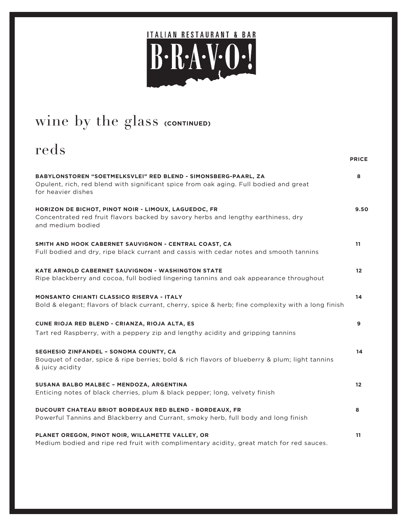

# wine by the glass **(CONTINUED)**

### reds *PRICE* **BABYLONSTOREN "SOETMELKSVLEI" RED BLEND - SIMONSBERG-PAARL, ZA 8** Opulent, rich, red blend with significant spice from oak aging. Full bodied and great for heavier dishes **HORIZON DE BICHOT, PINOT NOIR - LIMOUX, LAGUEDOC, FR 9.50** Concentrated red fruit flavors backed by savory herbs and lengthy earthiness, dry and medium bodied **SMITH AND HOOK CABERNET SAUVIGNON - CENTRAL COAST, CA 11 11** Full bodied and dry, ripe black currant and cassis with cedar notes and smooth tannins **KATE ARNOLD CABERNET SAUVIGNON - WASHINGTON STATE 12** Ripe blackberry and cocoa, full bodied lingering tannins and oak appearance throughout **MONSANTO CHIANTI CLASSICO RISERVA - ITALY 14** Bold & elegant; flavors of black currant, cherry, spice & herb; fine complexity with a long finish **CUNE RIOJA RED BLEND - CRIANZA, RIOJA ALTA, ES 9** Tart red Raspberry, with a peppery zip and lengthy acidity and gripping tannins **SEGHESIO ZINFANDEL – SONOMA COUNTY, CA 14** Bouquet of cedar, spice & ripe berries; bold & rich flavors of blueberry & plum; light tannins & juicy acidity **SUSANA BALBO MALBEC – MENDOZA, ARGENTINA 12** Enticing notes of black cherries, plum & black pepper; long, velvety finish **DUCOURT CHATEAU BRIOT BORDEAUX RED BLEND - BORDEAUX, FR 8** Powerful Tannins and Blackberry and Currant, smoky herb, full body and long finish **PLANET OREGON, PINOT NOIR, WILLAMETTE VALLEY, OR 11** 11 Medium bodied and ripe red fruit with complimentary acidity, great match for red sauces.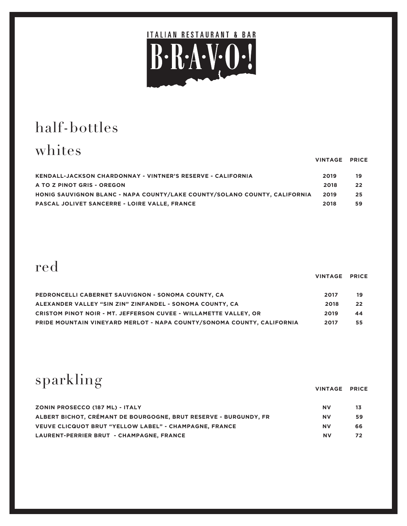

# half-bottles

# whites

|                                                                           | VINIMUL FRIUL |    |
|---------------------------------------------------------------------------|---------------|----|
| <b>KENDALL-JACKSON CHARDONNAY - VINTNER'S RESERVE - CALIFORNIA</b>        | 2019          | 19 |
| A TO Z PINOT GRIS - OREGON                                                | 2018          | 22 |
| HONIG SAUVIGNON BLANC - NAPA COUNTY/LAKE COUNTY/SOLANO COUNTY, CALIFORNIA | 2019          | 25 |
| <b>PASCAL JOLIVET SANCERRE - LOIRE VALLE, FRANCE</b>                      | 2018          | 59 |

# red

|                                                                        | VINTAGE PRICE |     |
|------------------------------------------------------------------------|---------------|-----|
| PEDRONCELLI CABERNET SAUVIGNON - SONOMA COUNTY, CA                     | 2017          | 19  |
| ALEXANDER VALLEY "SIN ZIN" ZINFANDEL - SONOMA COUNTY. CA               | 2018          | -22 |
| CRISTOM PINOT NOIR - MT. JEFFERSON CUVEE - WILLAMETTE VALLEY, OR       | 2019          | 44  |
| PRIDE MOUNTAIN VINEYARD MERLOT - NAPA COUNTY/SONOMA COUNTY, CALIFORNIA | 2017          | 55  |

sparkling

 **VINTAGE PRICE**

| <b>ZONIN PROSECCO (187 ML) - ITALY</b>                           | <b>NV</b> |     |
|------------------------------------------------------------------|-----------|-----|
| ALBERT BICHOT, CRÉMANT DE BOURGOGNE, BRUT RESERVE - BURGUNDY, FR | <b>NV</b> | 59. |
| <b>VEUVE CLICQUOT BRUT "YELLOW LABEL" - CHAMPAGNE, FRANCE</b>    | <b>NV</b> | 66. |
| LAURENT-PERRIER BRUT - CHAMPAGNE, FRANCE                         | <b>NV</b> | 72. |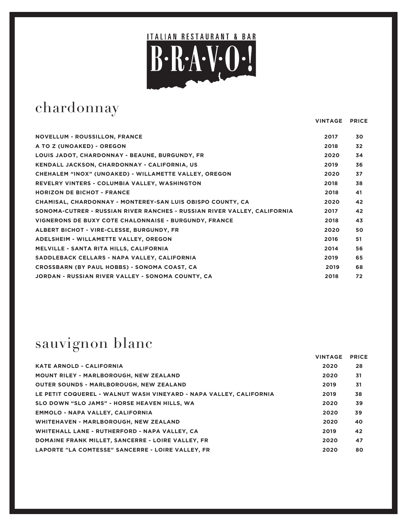

# chardonnay

 **VINTAGE PRICE**

| <b>NOVELLUM - ROUSSILLON, FRANCE</b>                                     | 2017 | 30 |
|--------------------------------------------------------------------------|------|----|
| A TO Z (UNOAKED) - OREGON                                                | 2018 | 32 |
| LOUIS JADOT, CHARDONNAY - BEAUNE, BURGUNDY, FR                           | 2020 | 34 |
| <b>KENDALL JACKSON, CHARDONNAY - CALIFORNIA, US</b>                      | 2019 | 36 |
| CHEHALEM "INOX" (UNOAKED) - WILLAMETTE VALLEY, OREGON                    | 2020 | 37 |
| REVELRY VINTERS - COLUMBIA VALLEY, WASHINGTON                            | 2018 | 38 |
| <b>HORIZON DE BICHOT - FRANCE</b>                                        | 2018 | 41 |
| CHAMISAL, CHARDONNAY - MONTEREY-SAN LUIS OBISPO COUNTY, CA               | 2020 | 42 |
| SONOMA-CUTRER - RUSSIAN RIVER RANCHES - RUSSIAN RIVER VALLEY, CALIFORNIA | 2017 | 42 |
| VIGNERONS DE BUXY COTE CHALONNAISE - BURGUNDY, FRANCE                    | 2018 | 43 |
| ALBERT BICHOT - VIRE-CLESSE, BURGUNDY, FR                                | 2020 | 50 |
| ADELSHEIM - WILLAMETTE VALLEY, OREGON                                    | 2016 | 51 |
| MELVILLE - SANTA RITA HILLS, CALIFORNIA                                  | 2014 | 56 |
| SADDLEBACK CELLARS - NAPA VALLEY, CALIFORNIA                             | 2019 | 65 |
| <b>CROSSBARN (BY PAUL HOBBS) - SONOMA COAST, CA</b>                      | 2019 | 68 |
| JORDAN - RUSSIAN RIVER VALLEY - SONOMA COUNTY, CA                        | 2018 | 72 |

# sauvignon blanc

|                                                                    | <b>VINTAGE</b> | <b>PRICE</b> |
|--------------------------------------------------------------------|----------------|--------------|
| <b>KATE ARNOLD - CALIFORNIA</b>                                    | 2020           | 28           |
| <b>MOUNT RILEY - MARLBOROUGH, NEW ZEALAND</b>                      | 2020           | 31           |
| <b>OUTER SOUNDS - MARLBOROUGH, NEW ZEALAND</b>                     | 2019           | 31           |
| LE PETIT COQUEREL - WALNUT WASH VINEYARD - NAPA VALLEY, CALIFORNIA | 2019           | 38           |
| SLO DOWN "SLO JAMS" - HORSE HEAVEN HILLS, WA                       | 2020           | 39           |
| <b>EMMOLO - NAPA VALLEY, CALIFORNIA</b>                            | 2020           | 39           |
| WHITEHAVEN - MARLBOROUGH, NEW ZEALAND                              | 2020           | 40           |
| WHITEHALL LANE - RUTHERFORD - NAPA VALLEY, CA                      | 2019           | 42           |
| DOMAINE FRANK MILLET. SANCERRE - LOIRE VALLEY. FR                  | 2020           | 47           |
| LAPORTE "LA COMTESSE" SANCERRE - LOIRE VALLEY. FR                  | 2020           | 80           |
|                                                                    |                |              |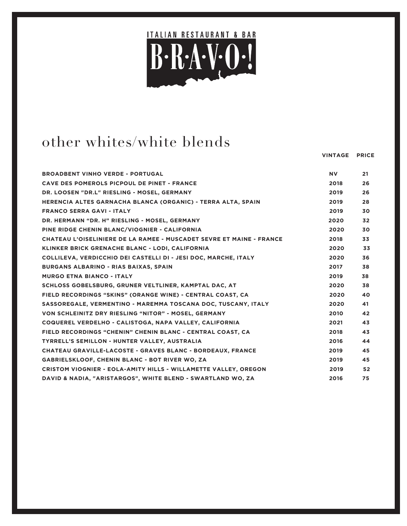

### other whites/white blends

| <b>BROADBENT VINHO VERDE - PORTUGAL</b>                                | <b>NV</b> | 21 |
|------------------------------------------------------------------------|-----------|----|
| CAVE DES POMEROLS PICPOUL DE PINET - FRANCE                            | 2018      | 26 |
| DR. LOOSEN "DR.L" RIESLING - MOSEL, GERMANY                            | 2019      | 26 |
| HERENCIA ALTES GARNACHA BLANCA (ORGANIC) - TERRA ALTA, SPAIN           | 2019      | 28 |
| <b>FRANCO SERRA GAVI - ITALY</b>                                       | 2019      | 30 |
| DR. HERMANN "DR. H" RIESLING - MOSEL, GERMANY                          | 2020      | 32 |
| PINE RIDGE CHENIN BLANC/VIOGNIER - CALIFORNIA                          | 2020      | 30 |
| CHATEAU L'OISELINIERE DE LA RAMEE - MUSCADET SEVRE ET MAINE - FRANCE   | 2018      | 33 |
| KLINKER BRICK GRENACHE BLANC - LODI, CALIFORNIA                        | 2020      | 33 |
| COLLILEVA, VERDICCHIO DEI CASTELLI DI - JESI DOC, MARCHE, ITALY        | 2020      | 36 |
| <b>BURGANS ALBARINO - RIAS BAIXAS, SPAIN</b>                           | 2017      | 38 |
| <b>MURGO ETNA BIANCO - ITALY</b>                                       | 2019      | 38 |
| SCHLOSS GOBELSBURG, GRUNER VELTLINER, KAMPTAL DAC, AT                  | 2020      | 38 |
| FIELD RECORDINGS "SKINS" (ORANGE WINE) - CENTRAL COAST, CA             | 2020      | 40 |
| SASSOREGALE, VERMENTINO - MAREMMA TOSCANA DOC, TUSCANY, ITALY          | 2020      | 41 |
| VON SCHLEINITZ DRY RIESLING "NITOR" - MOSEL, GERMANY                   | 2010      | 42 |
| COQUEREL VERDELHO - CALISTOGA, NAPA VALLEY, CALIFORNIA                 | 2021      | 43 |
| FIELD RECORDINGS "CHENIN" CHENIN BLANC - CENTRAL COAST, CA             | 2018      | 43 |
| TYRRELL'S SEMILLON - HUNTER VALLEY, AUSTRALIA                          | 2016      | 44 |
| CHATEAU GRAVILLE-LACOSTE - GRAVES BLANC - BORDEAUX, FRANCE             | 2019      | 45 |
| GABRIELSKLOOF, CHENIN BLANC - BOT RIVER WO, ZA                         | 2019      | 45 |
| <b>CRISTOM VIOGNIER - EOLA-AMITY HILLS - WILLAMETTE VALLEY, OREGON</b> | 2019      | 52 |
| DAVID & NADIA, "ARISTARGOS", WHITE BLEND - SWARTLAND WO, ZA            | 2016      | 75 |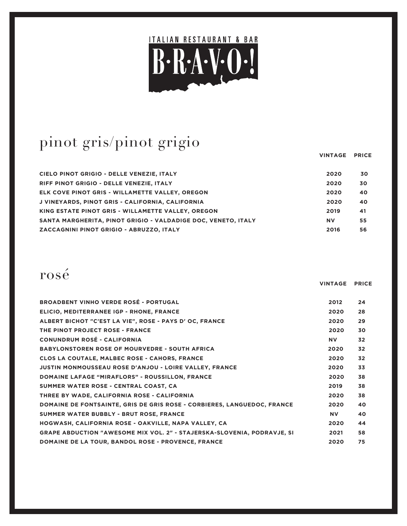

# pinot gris/pinot grigio

|                                                                                       | VINTAGE PRICE |          |
|---------------------------------------------------------------------------------------|---------------|----------|
|                                                                                       |               |          |
| CIELO PINOT GRIGIO - DELLE VENEZIE, ITALY<br>RIFF PINOT GRIGIO - DELLE VENEZIE, ITALY | 2020<br>2020  | 30<br>30 |
| ELK COVE PINOT GRIS - WILLAMETTE VALLEY, OREGON                                       | 2020          | 40       |
| J VINEYARDS, PINOT GRIS - CALIFORNIA, CALIFORNIA                                      | 2020          | 40       |
| KING ESTATE PINOT GRIS - WILLAMETTE VALLEY, OREGON                                    | 2019          | 41       |
| SANTA MARGHERITA, PINOT GRIGIO - VALDADIGE DOC, VENETO, ITALY                         | <b>NV</b>     | 55       |
| ZACCAGNINI PINOT GRIGIO - ABRUZZO, ITALY                                              | 2016          | 56       |

### rosé

|                                                                         | <b>VINTAGE</b> | <b>PRICE</b> |
|-------------------------------------------------------------------------|----------------|--------------|
| <b>BROADBENT VINHO VERDE ROSÉ - PORTUGAL</b>                            | 2012           | 24           |
| ELICIO, MEDITERRANEE IGP - RHONE, FRANCE                                | 2020           | 28           |
| ALBERT BICHOT "C'EST LA VIE", ROSE - PAYS D' OC, FRANCE                 | 2020           | 29           |
| THE PINOT PROJECT ROSE - FRANCE                                         | 2020           | 30           |
| <b>CONUNDRUM ROSÉ - CALIFORNIA</b>                                      | <b>NV</b>      | 32           |
| <b>BABYLONSTOREN ROSE OF MOURVEDRE - SOUTH AFRICA</b>                   | 2020           | 32           |
| <b>CLOS LA COUTALE, MALBEC ROSE - CAHORS, FRANCE</b>                    | 2020           | 32           |
| <b>JUSTIN MONMOUSSEAU ROSE D'ANJOU - LOIRE VALLEY, FRANCE</b>           | 2020           | 33           |
| <b>DOMAINE LAFAGE "MIRAFLORS" - ROUSSILLON, FRANCE</b>                  | 2020           | 38           |
| SUMMER WATER ROSE - CENTRAL COAST, CA                                   | 2019           | 38           |
| THREE BY WADE, CALIFORNIA ROSE - CALIFORNIA                             | 2020           | 38           |
| DOMAINE DE FONTSAINTE, GRIS DE GRIS ROSE - CORBIERES, LANGUEDOC, FRANCE | 2020           | 40           |
| SUMMER WATER BUBBLY - BRUT ROSE, FRANCE                                 | <b>NV</b>      | 40           |
| HOGWASH, CALIFORNIA ROSE - OAKVILLE, NAPA VALLEY, CA                    | 2020           | 44           |
| GRAPE ABDUCTION "AWESOME MIX VOL. 2" - STAJERSKA-SLOVENIA, PODRAVJE, SI | 2021           | 58           |
| DOMAINE DE LA TOUR, BANDOL ROSE - PROVENCE, FRANCE                      | 2020           | 75           |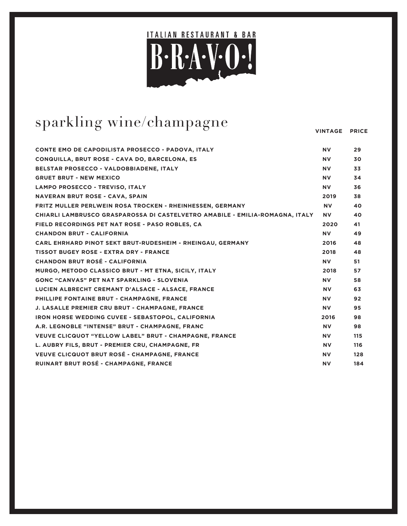

# sparkling wine/champagne

| <b>CONTE EMO DE CAPODILISTA PROSECCO - PADOVA, ITALY</b>                     | <b>NV</b> | 29  |
|------------------------------------------------------------------------------|-----------|-----|
| CONQUILLA, BRUT ROSE - CAVA DO, BARCELONA, ES                                | <b>NV</b> | 30  |
| BELSTAR PROSECCO - VALDOBBIADENE, ITALY                                      | <b>NV</b> | 33  |
| <b>GRUET BRUT - NEW MEXICO</b>                                               | <b>NV</b> | 34  |
| LAMPO PROSECCO - TREVISO, ITALY                                              | <b>NV</b> | 36  |
| <b>NAVERAN BRUT ROSE - CAVA, SPAIN</b>                                       | 2019      | 38  |
| FRITZ MULLER PERLWEIN ROSA TROCKEN - RHEINHESSEN, GERMANY                    | <b>NV</b> | 40  |
| CHIARLI LAMBRUSCO GRASPAROSSA DI CASTELVETRO AMABILE - EMILIA-ROMAGNA, ITALY | NV .      | 40  |
| FIELD RECORDINGS PET NAT ROSE - PASO ROBLES, CA                              | 2020      | 41  |
| <b>CHANDON BRUT - CALIFORNIA</b>                                             | <b>NV</b> | 49  |
| CARL EHRHARD PINOT SEKT BRUT-RUDESHEIM - RHEINGAU, GERMANY                   | 2016      | 48  |
| <b>TISSOT BUGEY ROSE - EXTRA DRY - FRANCE</b>                                | 2018      | 48  |
| <b>CHANDON BRUT ROSÉ - CALIFORNIA</b>                                        | <b>NV</b> | 51  |
| MURGO, METODO CLASSICO BRUT - MT ETNA, SICILY, ITALY                         | 2018      | 57  |
| <b>GONC "CANVAS" PET NAT SPARKLING - SLOVENIA</b>                            | <b>NV</b> | 58  |
| LUCIEN ALBRECHT CREMANT D'ALSACE - ALSACE, FRANCE                            | <b>NV</b> | 63  |
| PHILLIPE FONTAINE BRUT - CHAMPAGNE, FRANCE                                   | <b>NV</b> | 92  |
| J. LASALLE PREMIER CRU BRUT - CHAMPAGNE, FRANCE                              | <b>NV</b> | 95  |
| <b>IRON HORSE WEDDING CUVEE - SEBASTOPOL, CALIFORNIA</b>                     | 2016      | 98  |
| A.R. LEGNOBLE "INTENSE" BRUT - CHAMPAGNE, FRANC                              | <b>NV</b> | 98  |
| <b>VEUVE CLICQUOT "YELLOW LABEL" BRUT - CHAMPAGNE, FRANCE</b>                | <b>NV</b> | 115 |
| L. AUBRY FILS, BRUT - PREMIER CRU, CHAMPAGNE, FR                             | <b>NV</b> | 116 |
| VEUVE CLICQUOT BRUT ROSÉ - CHAMPAGNE, FRANCE                                 | <b>NV</b> | 128 |
| RUINART BRUT ROSÉ - CHAMPAGNE, FRANCE                                        | <b>NV</b> | 184 |
|                                                                              |           |     |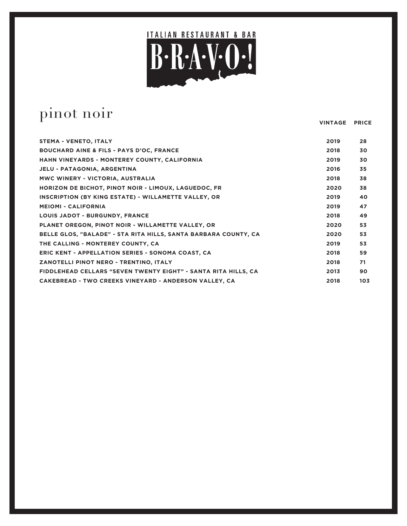

 **VINTAGE PRICE**

### pinot noir

**STEMA - VENETO, ITALY 2019 28 BOUCHARD AINE & FILS - PAYS D'OC, FRANCE 2018 30 HAHN VINEYARDS - MONTEREY COUNTY, CALIFORNIA 2019 30 JELU - PATAGONIA, ARGENTINA 2016 35 MWC WINERY - VICTORIA, AUSTRALIA 2018 38 HORIZON DE BICHOT, PINOT NOIR - LIMOUX, LAGUEDOC, FR 2020 38 INSCRIPTION (BY KING ESTATE) - WILLAMETTE VALLEY, OR 2019 40 MEIOMI - CALIFORNIA 2019 47 LOUIS JADOT - BURGUNDY, FRANCE 2018 49 PLANET OREGON, PINOT NOIR - WILLAMETTE VALLEY, OR 2020 53 BELLE GLOS, "BALADE" - STA RITA HILLS, SANTA BARBARA COUNTY, CA 2020 53 THE CALLING - MONTEREY COUNTY, CA 2019 53 ERIC KENT - APPELLATION SERIES - SONOMA COAST, CA 2018 59 ZANOTELLI PINOT NERO - TRENTINO, ITALY 2018 71 FIDDLEHEAD CELLARS "SEVEN TWENTY EIGHT" - SANTA RITA HILLS, CA 2013 90 CAKEBREAD - TWO CREEKS VINEYARD - ANDERSON VALLEY, CA 2018 103**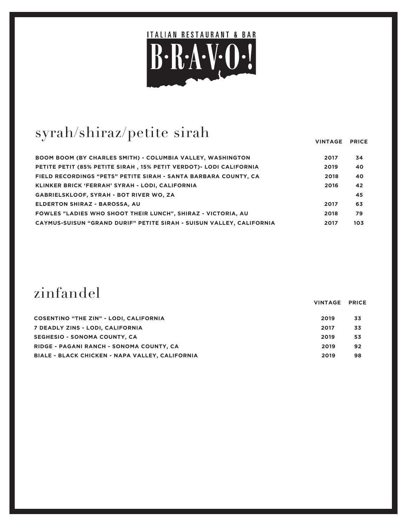

# syrah/shiraz/petite sirah

 **VINTAGE PRICE**

 **VINTAGE PRICE**

| <b>BOOM BOOM (BY CHARLES SMITH) - COLUMBIA VALLEY, WASHINGTON</b>    | 2017 | 34  |
|----------------------------------------------------------------------|------|-----|
| PETITE PETIT (85% PETITE SIRAH, 15% PETIT VERDOT) - LODI CALIFORNIA  | 2019 | 40  |
| FIELD RECORDINGS "PETS" PETITE SIRAH - SANTA BARBARA COUNTY, CA      | 2018 | 40  |
| KLINKER BRICK 'FERRAH' SYRAH - LODI. CALIFORNIA                      | 2016 | 42  |
| <b>GABRIELSKLOOF, SYRAH - BOT RIVER WO, ZA</b>                       |      | 45  |
| <b>ELDERTON SHIRAZ - BAROSSA, AU</b>                                 | 2017 | 63  |
| <b>FOWLES "LADIES WHO SHOOT THEIR LUNCH". SHIRAZ - VICTORIA. AU</b>  | 2018 | 79  |
| CAYMUS-SUISUN "GRAND DURIF" PETITE SIRAH - SUISUN VALLEY, CALIFORNIA | 2017 | 103 |

## zinfandel

| <b>COSENTINO "THE ZIN" - LODI, CALIFORNIA</b>   | 2019 | 33 |
|-------------------------------------------------|------|----|
| 7 DEADLY ZINS - LODI, CALIFORNIA                | 2017 | 33 |
| SEGHESIO - SONOMA COUNTY, CA                    | 2019 | 53 |
| RIDGE - PAGANI RANCH - SONOMA COUNTY, CA        | 2019 | 92 |
| BIALE - BLACK CHICKEN - NAPA VALLEY, CALIFORNIA | 2019 | 98 |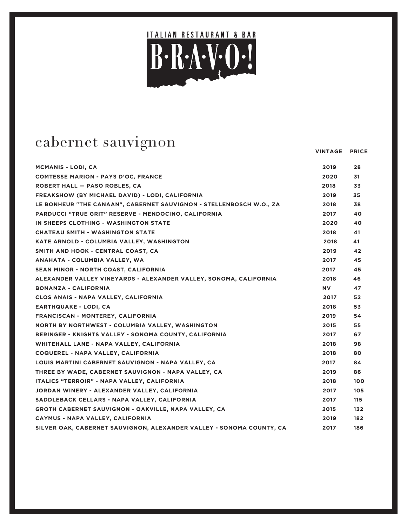

 **VINTAGE PRICE**

### cabernet sauvignon

| <b>MCMANIS - LODI, CA</b>                                            | 2019 | 28  |
|----------------------------------------------------------------------|------|-----|
| <b>COMTESSE MARION - PAYS D'OC, FRANCE</b>                           | 2020 | 31  |
| <b>ROBERT HALL - PASO ROBLES, CA</b>                                 | 2018 | 33  |
| FREAKSHOW (BY MICHAEL DAVID) - LODI, CALIFORNIA                      | 2019 | 35  |
| LE BONHEUR "THE CANAAN", CABERNET SAUVIGNON - STELLENBOSCH W.O., ZA  | 2018 | 38  |
| <b>PARDUCCI "TRUE GRIT" RESERVE - MENDOCINO, CALIFORNIA</b>          | 2017 | 40  |
| IN SHEEPS CLOTHING - WASHINGTON STATE                                | 2020 | 40  |
| <b>CHATEAU SMITH - WASHINGTON STATE</b>                              | 2018 | 41  |
| KATE ARNOLD - COLUMBIA VALLEY, WASHINGTON                            | 2018 | 41  |
| SMITH AND HOOK - CENTRAL COAST, CA                                   | 2019 | 42  |
| ANAHATA - COLUMBIA VALLEY, WA                                        | 2017 | 45  |
| SEAN MINOR - NORTH COAST, CALIFORNIA                                 | 2017 | 45  |
| ALEXANDER VALLEY VINEYARDS - ALEXANDER VALLEY, SONOMA, CALIFORNIA    | 2018 | 46  |
| <b>BONANZA - CALIFORNIA</b>                                          | NV.  | 47  |
| CLOS ANAIS - NAPA VALLEY, CALIFORNIA                                 | 2017 | 52  |
| <b>EARTHQUAKE - LODI, CA</b>                                         | 2018 | 53  |
| FRANCISCAN - MONTEREY, CALIFORNIA                                    | 2019 | 54  |
| NORTH BY NORTHWEST - COLUMBIA VALLEY, WASHINGTON                     | 2015 | 55  |
| BERINGER - KNIGHTS VALLEY - SONOMA COUNTY, CALIFORNIA                | 2017 | 67  |
| WHITEHALL LANE - NAPA VALLEY, CALIFORNIA                             | 2018 | 98  |
| <b>COQUEREL - NAPA VALLEY, CALIFORNIA</b>                            | 2018 | 80  |
| LOUIS MARTINI CABERNET SAUVIGNON - NAPA VALLEY, CA                   | 2017 | 84  |
| THREE BY WADE, CABERNET SAUVIGNON - NAPA VALLEY, CA                  | 2019 | 86  |
| ITALICS "TERROIR" - NAPA VALLEY, CALIFORNIA                          | 2018 | 100 |
| JORDAN WINERY - ALEXANDER VALLEY, CALIFORNIA                         | 2017 | 105 |
| SADDLEBACK CELLARS - NAPA VALLEY, CALIFORNIA                         | 2017 | 115 |
| <b>GROTH CABERNET SAUVIGNON - OAKVILLE, NAPA VALLEY, CA</b>          | 2015 | 132 |
| CAYMUS - NAPA VALLEY, CALIFORNIA                                     | 2019 | 182 |
| SILVER OAK, CABERNET SAUVIGNON, ALEXANDER VALLEY - SONOMA COUNTY, CA | 2017 | 186 |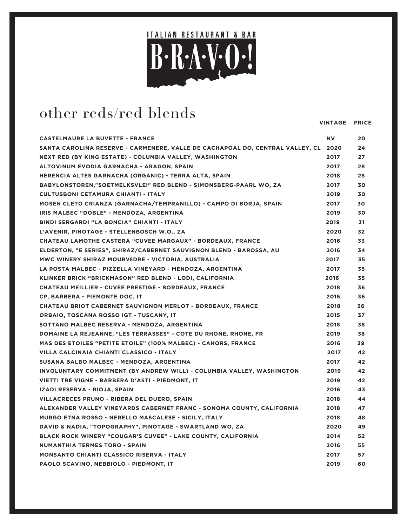

# other reds/red blends

| <b>CASTELMAURE LA BUVETTE - FRANCE</b>                                             | <b>NV</b> | 20 |
|------------------------------------------------------------------------------------|-----------|----|
| SANTA CAROLINA RESERVE - CARMENERE, VALLE DE CACHAPOAL DO, CENTRAL VALLEY, CL 2020 |           | 24 |
| NEXT RED (BY KING ESTATE) - COLUMBIA VALLEY, WASHINGTON                            | 2017      | 27 |
| ALTOVINUM EVODIA GARNACHA - ARAGON, SPAIN                                          | 2017      | 28 |
| HERENCIA ALTES GARNACHA (ORGANIC) - TERRA ALTA, SPAIN                              | 2018      | 28 |
| BABYLONSTOREN,"SOETMELKSVLEI" RED BLEND - SIMONSBERG-PAARL WO, ZA                  | 2017      | 30 |
| <b>CULTUSBONI CETAMURA CHIANTI - ITALY</b>                                         | 2019      | 30 |
| MOSEN CLETO CRIANZA (GARNACHA/TEMPRANILLO) - CAMPO DI BORJA, SPAIN                 | 2017      | 30 |
| IRIS MALBEC "DOBLE" - MENDOZA, ARGENTINA                                           | 2019      | 30 |
| BINDI SERGARDI "LA BONCIA" CHIANTI - ITALY                                         | 2019      | 31 |
| L'AVENIR, PINOTAGE - STELLENBOSCH W.O., ZA                                         | 2020      | 32 |
| CHATEAU LAMOTHE CASTERA "CUVEE MARGAUX" - BORDEAUX, FRANCE                         | 2016      | 33 |
| ELDERTON, "E SERIES", SHIRAZ/CABERNET SAUVIGNON BLEND - BAROSSA, AU                | 2016      | 34 |
| MWC WINERY SHIRAZ MOURVÉDRE - VICTORIA, AUSTRALIA                                  | 2017      | 35 |
| LA POSTA MALBEC - PIZZELLA VINEYARD - MENDOZA, ARGENTINA                           | 2017      | 35 |
| KLINKER BRICK "BRICKMASON" RED BLEND - LODI, CALIFORNIA                            | 2016      | 35 |
| <b>CHATEAU MEILLIER - CUVEE PRESTIGE - BORDEAUX, FRANCE</b>                        | 2018      | 36 |
| CP, BARBERA - PIEMONTE DOC, IT                                                     | 2015      | 36 |
| <b>CHATEAU BRIOT CABERNET SAUVIGNON MERLOT - BORDEAUX, FRANCE</b>                  | 2018      | 36 |
| ORBAIO, TOSCANA ROSSO IGT - TUSCANY, IT                                            | 2015      | 37 |
| SOTTANO MALBEC RESERVA - MENDOZA, ARGENTINA                                        | 2018      | 38 |
| DOMAINE LA REJEANNE, "LES TERRASSES" - COTE DU RHONE, RHONE, FR                    | 2019      | 38 |
| <b>MAS DES ETOILES "PETITE ETOILE" (100% MALBEC) - CAHORS, FRANCE</b>              | 2016      | 39 |
| VILLA CALCINAIA CHIANTI CLASSICO - ITALY                                           | 2017      | 42 |
| SUSANA BALBO MALBEC - MENDOZA, ARGENTINA                                           | 2017      | 42 |
| INVOLUNTARY COMMITMENT (BY ANDREW WILL) - COLUMBIA VALLEY, WASHINGTON              | 2019      | 42 |
| VIETTI TRE VIGNE - BARBERA D'ASTI - PIEDMONT, IT                                   | 2019      | 42 |
| IZADI RESERVA - RIOJA, SPAIN                                                       | 2016      | 43 |
| VILLACRECES PRUNO - RIBERA DEL DUERO, SPAIN                                        | 2018      | 44 |
| ALEXANDER VALLEY VINEYARDS CABERNET FRANC - SONOMA COUNTY, CALIFORNIA              | 2018      | 47 |
| <b>MURGO ETNA ROSSO - NERELLO MASCALESE - SICILY, ITALY</b>                        | 2018      | 48 |
| DAVID & NADIA, "TOPOGRAPHY", PINOTAGE - SWARTLAND WO, ZA                           | 2020      | 49 |
| BLACK ROCK WINERY "COUGAR'S CUVEE" - LAKE COUNTY, CALIFORNIA                       | 2014      | 52 |
| <b>NUMANTHIA TERMES TORO - SPAIN</b>                                               | 2016      | 55 |
| <b>MONSANTO CHIANTI CLASSICO RISERVA - ITALY</b>                                   | 2017      | 57 |
| PAOLO SCAVINO, NEBBIOLO - PIEDMONT, IT                                             | 2019      | 60 |
|                                                                                    |           |    |